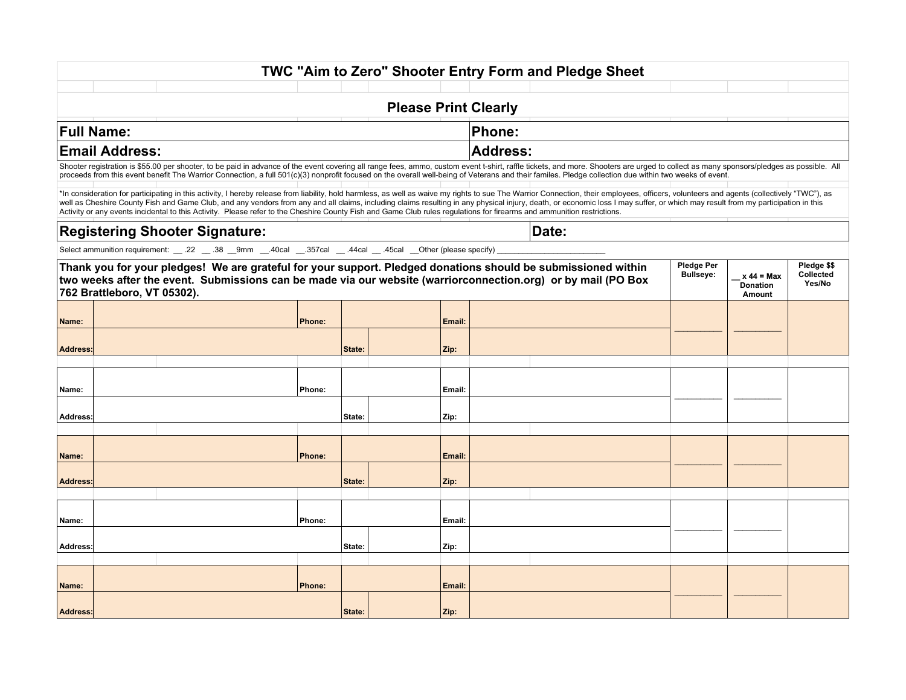## **TWC "Aim to Zero" Shooter Entry Form and Pledge Sheet**

## **Please Print Clearly**

| Full<br>Name:   |  |  | -<br>- -- - |  |  |
|-----------------|--|--|-------------|--|--|
| Email<br>iracc. |  |  | rnee'       |  |  |

Shooter registration is \$55.00 per shooter, to be paid in advance of the event covering all range fees, ammo, custom event t-shirt, raffle tickets, and more. Shooters are urged to collect as many sponsors/pledges as possib proceeds from this event benefit The Warrior Connection, a full 501(c)(3) nonprofit focused on the overall well-being of Veterans and their familes. Pledge collection due within two weeks of event.

\*In consideration for participating in this activity, I hereby release from liability, hold harmless, as well as waive my rights to sue The Warrior Connection, their employees, officers, volunteers and agents (collectively well as Cheshire County Fish and Game Club, and any vendors from any and all claims, including claims resulting in any physical injury, death, or economic loss I may suffer, or which may result from my participation in thi Activity or any events incidental to this Activity. Please refer to the Cheshire County Fish and Game Club rules regulations for firearms and ammunition restrictions.

| <b>Registering Shooter Signature:</b> | Date |
|---------------------------------------|------|
|                                       |      |

Select ammunition requirement:  $\_\$ .22  $\_\$ .38  $\_\$ 9mm  $\_\$ .40cal  $\_\$ .357cal  $\_\$ .44cal  $\_\$ .45cal  $\_\$ Other (please specify)

| Thank you for your pledges! We are grateful for your support. Pledged donations should be submissioned within<br>two weeks after the event. Submissions can be made via our website (warriorconnection.org) or by mail (PO Box<br>762 Brattleboro, VT 05302). |  |        |        |        |  | Pledge Per<br><b>Bullseye:</b> | $x 44 = Max$<br><b>Donation</b><br>Amount | Pledge \$\$<br>Collected<br>Yes/No |
|---------------------------------------------------------------------------------------------------------------------------------------------------------------------------------------------------------------------------------------------------------------|--|--------|--------|--------|--|--------------------------------|-------------------------------------------|------------------------------------|
| Name:                                                                                                                                                                                                                                                         |  | Phone: |        | Email: |  |                                |                                           |                                    |
| <b>Address:</b>                                                                                                                                                                                                                                               |  |        | State: | Zip:   |  |                                |                                           |                                    |
|                                                                                                                                                                                                                                                               |  |        |        |        |  |                                |                                           |                                    |
| Name:                                                                                                                                                                                                                                                         |  | Phone: |        | Email: |  |                                |                                           |                                    |
| Address:                                                                                                                                                                                                                                                      |  |        | State: | Zip:   |  |                                |                                           |                                    |
|                                                                                                                                                                                                                                                               |  |        |        |        |  |                                |                                           |                                    |
| Name:                                                                                                                                                                                                                                                         |  | Phone: |        | Email: |  |                                |                                           |                                    |
| Address:                                                                                                                                                                                                                                                      |  |        | State: | Zip:   |  |                                |                                           |                                    |
|                                                                                                                                                                                                                                                               |  |        |        |        |  |                                |                                           |                                    |
| Name:                                                                                                                                                                                                                                                         |  | Phone: |        | Email: |  |                                |                                           |                                    |
| Address:                                                                                                                                                                                                                                                      |  |        | State: | Zip:   |  |                                |                                           |                                    |
|                                                                                                                                                                                                                                                               |  |        |        |        |  |                                |                                           |                                    |
| Name:                                                                                                                                                                                                                                                         |  | Phone: |        | Email: |  |                                |                                           |                                    |
| Address:                                                                                                                                                                                                                                                      |  |        | State: | Zip:   |  |                                |                                           |                                    |